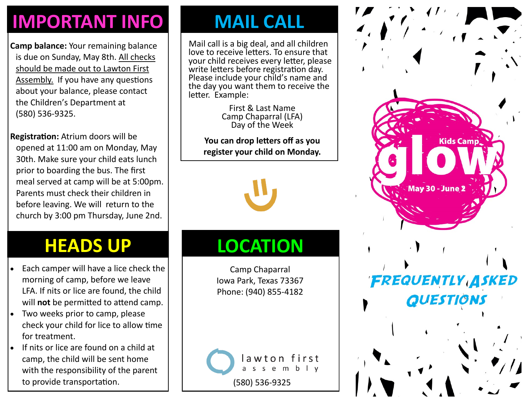## **IMPORTANT INFO**

**Camp balance:** Your remaining balance is due on Sunday, May 8th. All checks should be made out to Lawton First Assembly. If you have any questions about your balance, please contact the Children's Department at (580) 536-9325.

**Registration:** Atrium doors will be opened at 11:00 am on Monday, May 30th. Make sure your child eats lunch prior to boarding the bus. The first meal served at camp will be at 5:00pm. Parents must check their children in before leaving. We will return to the church by 3:00 pm Thursday, June 2nd.

### **HEADS UP**

- Each camper will have a lice check the morning of camp, before we leave LFA. If nits or lice are found, the child will **not** be permitted to attend camp.
- Two weeks prior to camp, please check your child for lice to allow time for treatment.
- If nits or lice are found on a child at camp, the child will be sent home with the responsibility of the parent to provide transportation.

### **MAIL CALL**

Mail call is a big deal, and all children love to receive letters. To ensure that your child receives every letter, please write letters before registration day. Please include your child's name and the day you want them to receive the letter. Example:

> First & Last Name Camp Chaparral (LFA) Day of the Week

**You can drop letters off as you register your child on Monday.** 



**LOCATION**

Camp Chaparral Iowa Park, Texas 73367 Phone: (940) 855-4182

lawton first assembly (580) 536-9325